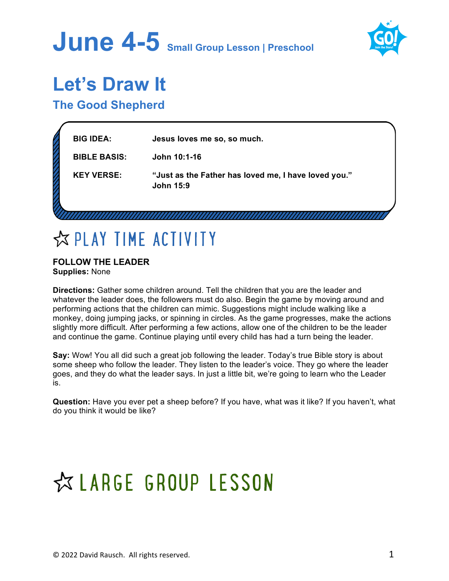



### **Let's Draw It**

**The Good Shepherd**

| <b>BIG IDEA:</b>    | Jesus loves me so, so much.                                              |  |
|---------------------|--------------------------------------------------------------------------|--|
| <b>BIBLE BASIS:</b> | John 10:1-16                                                             |  |
| <b>KEY VERSE:</b>   | "Just as the Father has loved me, I have loved you."<br><b>John 15:9</b> |  |
|                     |                                                                          |  |

## **EXPLAY TIME ACTIVITY**

### **FOLLOW THE LEADER Supplies:** None

**Directions:** Gather some children around. Tell the children that you are the leader and whatever the leader does, the followers must do also. Begin the game by moving around and performing actions that the children can mimic. Suggestions might include walking like a monkey, doing jumping jacks, or spinning in circles. As the game progresses, make the actions slightly more difficult. After performing a few actions, allow one of the children to be the leader and continue the game. Continue playing until every child has had a turn being the leader.

**Say:** Wow! You all did such a great job following the leader. Today's true Bible story is about some sheep who follow the leader. They listen to the leader's voice. They go where the leader goes, and they do what the leader says. In just a little bit, we're going to learn who the Leader is.

**Question:** Have you ever pet a sheep before? If you have, what was it like? If you haven't, what do you think it would be like?

# ☆ LARGE GROUP LESSON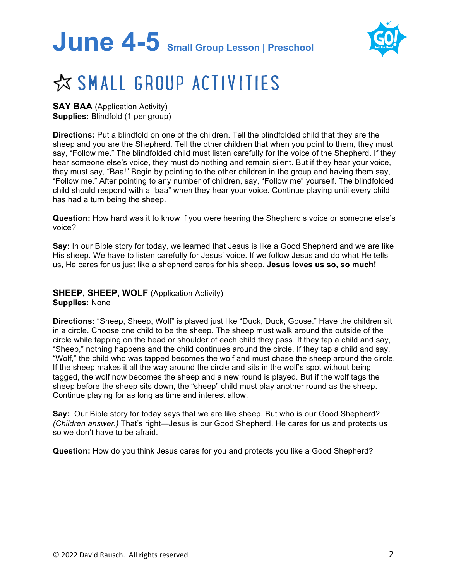# **June 4-5 Small Group Lesson | Preschool**



## ☆ SMALL GROUP ACTIVITIES

**SAY BAA** (Application Activity) **Supplies:** Blindfold (1 per group)

**Directions:** Put a blindfold on one of the children. Tell the blindfolded child that they are the sheep and you are the Shepherd. Tell the other children that when you point to them, they must say, "Follow me." The blindfolded child must listen carefully for the voice of the Shepherd. If they hear someone else's voice, they must do nothing and remain silent. But if they hear your voice, they must say, "Baa!" Begin by pointing to the other children in the group and having them say, "Follow me." After pointing to any number of children, say, "Follow me" yourself. The blindfolded child should respond with a "baa" when they hear your voice. Continue playing until every child has had a turn being the sheep.

**Question:** How hard was it to know if you were hearing the Shepherd's voice or someone else's voice?

**Say:** In our Bible story for today, we learned that Jesus is like a Good Shepherd and we are like His sheep. We have to listen carefully for Jesus' voice. If we follow Jesus and do what He tells us, He cares for us just like a shepherd cares for his sheep. **Jesus loves us so, so much!**

**SHEEP, SHEEP, WOLF** (Application Activity) **Supplies:** None

**Directions:** "Sheep, Sheep, Wolf" is played just like "Duck, Duck, Goose." Have the children sit in a circle. Choose one child to be the sheep. The sheep must walk around the outside of the circle while tapping on the head or shoulder of each child they pass. If they tap a child and say, "Sheep," nothing happens and the child continues around the circle. If they tap a child and say, "Wolf," the child who was tapped becomes the wolf and must chase the sheep around the circle. If the sheep makes it all the way around the circle and sits in the wolf's spot without being tagged, the wolf now becomes the sheep and a new round is played. But if the wolf tags the sheep before the sheep sits down, the "sheep" child must play another round as the sheep. Continue playing for as long as time and interest allow.

**Say:** Our Bible story for today says that we are like sheep. But who is our Good Shepherd? *(Children answer.)* That's right—Jesus is our Good Shepherd. He cares for us and protects us so we don't have to be afraid.

**Question:** How do you think Jesus cares for you and protects you like a Good Shepherd?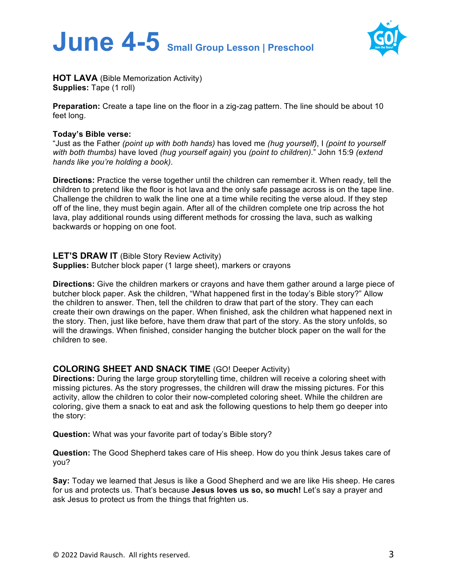



**HOT LAVA** (Bible Memorization Activity) **Supplies: Tape (1 roll)** 

**Preparation:** Create a tape line on the floor in a zig-zag pattern. The line should be about 10 feet long.

#### **Today's Bible verse:**

"Just as the Father *(point up with both hands)* has loved me *(hug yourself)*, I *(point to yourself with both thumbs)* have loved *(hug yourself again)* you *(point to children)*." John 15:9 *(extend hands like you're holding a book)*.

**Directions:** Practice the verse together until the children can remember it. When ready, tell the children to pretend like the floor is hot lava and the only safe passage across is on the tape line. Challenge the children to walk the line one at a time while reciting the verse aloud. If they step off of the line, they must begin again. After all of the children complete one trip across the hot lava, play additional rounds using different methods for crossing the lava, such as walking backwards or hopping on one foot.

**LET'S DRAW IT** (Bible Story Review Activity) **Supplies:** Butcher block paper (1 large sheet), markers or crayons

**Directions:** Give the children markers or crayons and have them gather around a large piece of butcher block paper. Ask the children, "What happened first in the today's Bible story?" Allow the children to answer. Then, tell the children to draw that part of the story. They can each create their own drawings on the paper. When finished, ask the children what happened next in the story. Then, just like before, have them draw that part of the story. As the story unfolds, so will the drawings. When finished, consider hanging the butcher block paper on the wall for the children to see.

### **COLORING SHEET AND SNACK TIME** (GO! Deeper Activity)

**Directions:** During the large group storytelling time, children will receive a coloring sheet with missing pictures. As the story progresses, the children will draw the missing pictures. For this activity, allow the children to color their now-completed coloring sheet. While the children are coloring, give them a snack to eat and ask the following questions to help them go deeper into the story:

**Question:** What was your favorite part of today's Bible story?

**Question:** The Good Shepherd takes care of His sheep. How do you think Jesus takes care of you?

**Say:** Today we learned that Jesus is like a Good Shepherd and we are like His sheep. He cares for us and protects us. That's because **Jesus loves us so, so much!** Let's say a prayer and ask Jesus to protect us from the things that frighten us.